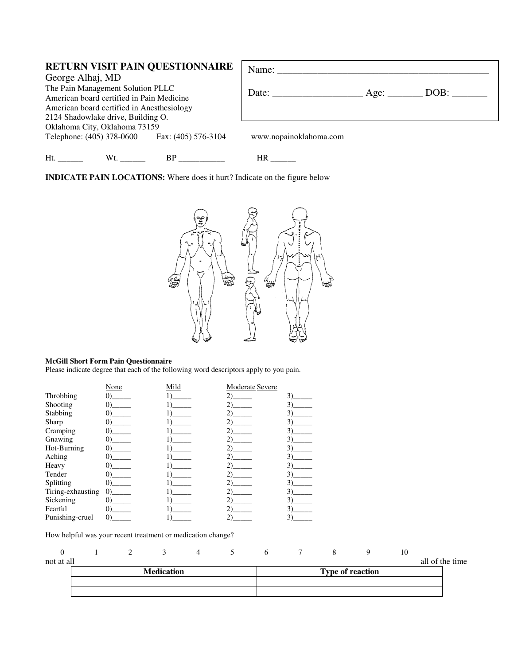|     |                                            | RETURN VISIT PAIN QUESTIONNAIRE                                                                                                                                                                                                | Name: $\frac{1}{\sqrt{1-\frac{1}{2}}\cdot\frac{1}{\sqrt{1-\frac{1}{2}}}}$ |      |  |  |
|-----|--------------------------------------------|--------------------------------------------------------------------------------------------------------------------------------------------------------------------------------------------------------------------------------|---------------------------------------------------------------------------|------|--|--|
|     | George Alhaj, MD                           |                                                                                                                                                                                                                                |                                                                           |      |  |  |
|     | The Pain Management Solution PLLC          |                                                                                                                                                                                                                                |                                                                           | DOB: |  |  |
|     | American board certified in Pain Medicine  |                                                                                                                                                                                                                                |                                                                           |      |  |  |
|     | American board certified in Anesthesiology |                                                                                                                                                                                                                                |                                                                           |      |  |  |
|     | 2124 Shadowlake drive, Building O.         |                                                                                                                                                                                                                                |                                                                           |      |  |  |
|     | Oklahoma City, Oklahoma 73159              |                                                                                                                                                                                                                                |                                                                           |      |  |  |
|     |                                            | Telephone: (405) 378-0600 Fax: (405) 576-3104                                                                                                                                                                                  | www.nopainoklahoma.com                                                    |      |  |  |
| Ht. | Wt.                                        | BP and the set of the set of the set of the set of the set of the set of the set of the set of the set of the set of the set of the set of the set of the set of the set of the set of the set of the set of the set of the se | HR.                                                                       |      |  |  |

**INDICATE PAIN LOCATIONS:** Where does it hurt? Indicate on the figure below



## **McGill Short Form Pain Questionnaire**

Please indicate degree that each of the following word descriptors apply to you pain.

|                   | None                                    | Mild                        | Moderate Severe |     |
|-------------------|-----------------------------------------|-----------------------------|-----------------|-----|
| Throbbing         |                                         |                             | (2)             | 3)  |
| Shooting          | $\Omega$                                | 1)                          | $2)$ and $2$    | 3)  |
| Stabbing          | $\Omega$                                | 1)                          | 2) —            | 3)  |
| Sharp             |                                         |                             | 2) —            | 3). |
| Cramping          | $\left( 0\right)$                       | 1)                          | 2) —            | 3)  |
| Gnawing           | $\Omega$                                | 1)                          | 2) —            | 3)  |
| Hot-Burning       |                                         |                             | 2) —            | 3)  |
| Aching            |                                         |                             | 2) —            | 3)  |
| Heavy             |                                         | 1)                          |                 | 3)  |
| Tender            |                                         | $\frac{11}{}$ $\frac{11}{}$ | 2) —            | 3)  |
| Splitting         | $\left( 0\right)$ and $\left( 0\right)$ |                             |                 | 3)  |
| Tiring-exhausting | $\Omega$                                |                             |                 | 3)  |
| Sickening         | $\Omega$                                |                             |                 | 3)  |
| Fearful           | $\Omega$                                |                             |                 |     |
| Punishing-cruel   | $\left( 0\right)$                       |                             | 2)              | 3)  |

How helpful was your recent treatment or medication change?

|            |  | Modication |  |  | Type of regation |                |                |
|------------|--|------------|--|--|------------------|----------------|----------------|
| not at all |  |            |  |  |                  |                | the time<br>ΩŤ |
|            |  |            |  |  |                  | 1 <sub>O</sub> |                |

| <b>Medication</b> | <b>Type of reaction</b> |
|-------------------|-------------------------|
|                   |                         |
|                   |                         |